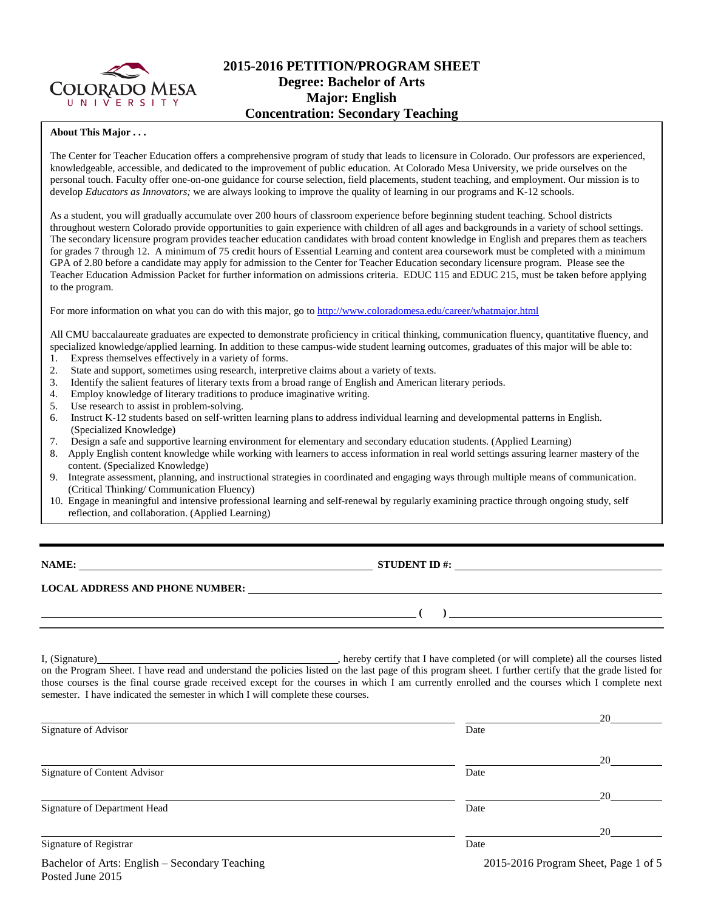

# **2015-2016 PETITION/PROGRAM SHEET Degree: Bachelor of Arts Major: English Concentration: Secondary Teaching**

#### **About This Major . . .**

The Center for Teacher Education offers a comprehensive program of study that leads to licensure in Colorado. Our professors are experienced, knowledgeable, accessible, and dedicated to the improvement of public education. At Colorado Mesa University, we pride ourselves on the personal touch. Faculty offer one-on-one guidance for course selection, field placements, student teaching, and employment. Our mission is to develop *Educators as Innovators*; we are always looking to improve the quality of learning in our programs and K-12 schools.

As a student, you will gradually accumulate over 200 hours of classroom experience before beginning student teaching. School districts throughout western Colorado provide opportunities to gain experience with children of all ages and backgrounds in a variety of school settings. The secondary licensure program provides teacher education candidates with broad content knowledge in English and prepares them as teachers for grades 7 through 12. A minimum of 75 credit hours of Essential Learning and content area coursework must be completed with a minimum GPA of 2.80 before a candidate may apply for admission to the Center for Teacher Education secondary licensure program. Please see the Teacher Education Admission Packet for further information on admissions criteria. EDUC 115 and EDUC 215, must be taken before applying to the program.

For more information on what you can do with this major, go to<http://www.coloradomesa.edu/career/whatmajor.html>

All CMU baccalaureate graduates are expected to demonstrate proficiency in critical thinking, communication fluency, quantitative fluency, and specialized knowledge/applied learning. In addition to these campus-wide student learning outcomes, graduates of this major will be able to: 1. Express themselves effectively in a variety of forms.

- 2. State and support, sometimes using research, interpretive claims about a variety of texts.
- 3. Identify the salient features of literary texts from a broad range of English and American literary periods.
- 4. Employ knowledge of literary traditions to produce imaginative writing.
- 5. Use research to assist in problem-solving.
- 6. Instruct K-12 students based on self-written learning plans to address individual learning and developmental patterns in English. (Specialized Knowledge)<br>7. Design a safe and support
- Design a safe and supportive learning environment for elementary and secondary education students. (Applied Learning)
- 8. Apply English content knowledge while working with learners to access information in real world settings assuring learner mastery of the content. (Specialized Knowledge)
- 9. Integrate assessment, planning, and instructional strategies in coordinated and engaging ways through multiple means of communication. (Critical Thinking/ Communication Fluency)
- 10. Engage in meaningful and intensive professional learning and self-renewal by regularly examining practice through ongoing study, self reflection, and collaboration. (Applied Learning)

Posted June 2015

## **NAME: STUDENT ID #: STUDENT ID #: STUDENT ID #: STUDENT ID #: STUDENT ID #: STUDENT ID #: STUDENT ID #: STUDENT ID #: STUDENT ID #: STUDENT ID #: STUDENT ID #: STUDENT ID #: STUDENT ID #: STUDE**

**( )** 

**LOCAL ADDRESS AND PHONE NUMBER:**

I, (Signature) **Solution** , hereby certify that I have completed (or will complete) all the courses listed on the Program Sheet. I have read and understand the policies listed on the last page of this program sheet. I further certify that the grade listed for those courses is the final course grade received except for the courses in which I am currently enrolled and the courses which I complete next semester. I have indicated the semester in which I will complete these courses.

|                                                |                                      | 20 |  |
|------------------------------------------------|--------------------------------------|----|--|
| Signature of Advisor                           | Date                                 |    |  |
|                                                |                                      | 20 |  |
| Signature of Content Advisor                   | Date                                 |    |  |
|                                                |                                      | 20 |  |
| Signature of Department Head                   | Date                                 |    |  |
|                                                |                                      | 20 |  |
| Signature of Registrar                         | Date                                 |    |  |
| Bachelor of Arts: English – Secondary Teaching | 2015-2016 Program Sheet, Page 1 of 5 |    |  |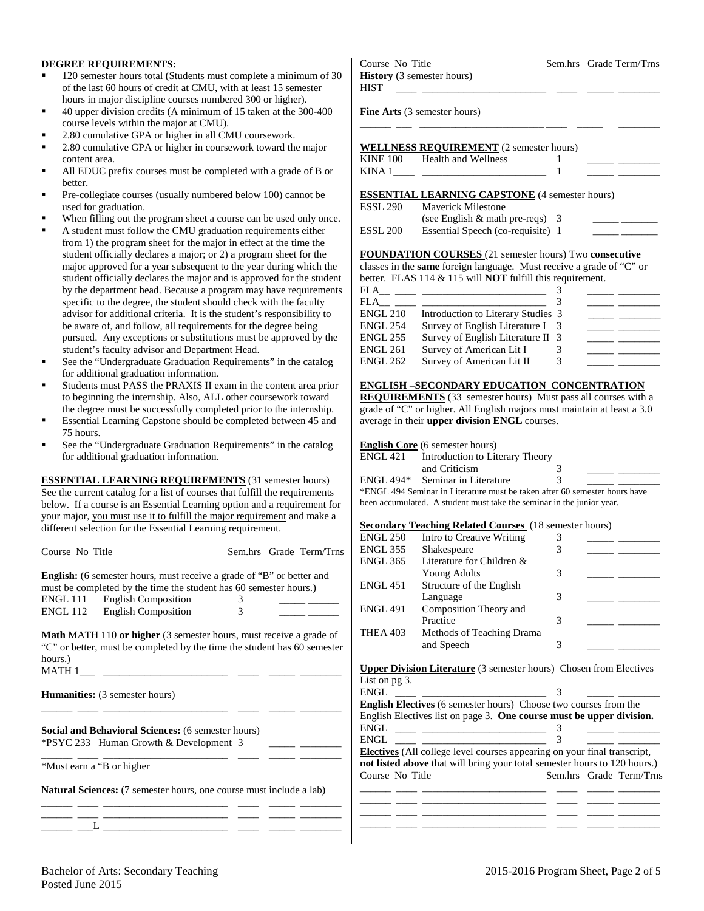#### **DEGREE REQUIREMENTS:**

- 120 semester hours total (Students must complete a minimum of 30 of the last 60 hours of credit at CMU, with at least 15 semester hours in major discipline courses numbered 300 or higher).
- 40 upper division credits (A minimum of 15 taken at the 300-400 course levels within the major at CMU).
- 2.80 cumulative GPA or higher in all CMU coursework.
- 2.80 cumulative GPA or higher in coursework toward the major content area.
- All EDUC prefix courses must be completed with a grade of B or better.
- Pre-collegiate courses (usually numbered below 100) cannot be used for graduation.
- When filling out the program sheet a course can be used only once.
- A student must follow the CMU graduation requirements either from 1) the program sheet for the major in effect at the time the student officially declares a major; or 2) a program sheet for the major approved for a year subsequent to the year during which the student officially declares the major and is approved for the student by the department head. Because a program may have requirements specific to the degree, the student should check with the faculty advisor for additional criteria. It is the student's responsibility to be aware of, and follow, all requirements for the degree being pursued. Any exceptions or substitutions must be approved by the student's faculty advisor and Department Head.
- See the "Undergraduate Graduation Requirements" in the catalog for additional graduation information.
- Students must PASS the PRAXIS II exam in the content area prior to beginning the internship. Also, ALL other coursework toward the degree must be successfully completed prior to the internship.
- Essential Learning Capstone should be completed between 45 and 75 hours.
- See the "Undergraduate Graduation Requirements" in the catalog for additional graduation information.

**ESSENTIAL LEARNING REQUIREMENTS** (31 semester hours) See the current catalog for a list of courses that fulfill the requirements below. If a course is an Essential Learning option and a requirement for your major, you must use it to fulfill the major requirement and make a different selection for the Essential Learning requirement.

| Course No Title |                                                                                                                                                       | Sem.hrs Grade Term/Trns |  |
|-----------------|-------------------------------------------------------------------------------------------------------------------------------------------------------|-------------------------|--|
|                 | <b>English:</b> (6 semester hours, must receive a grade of "B" or better and<br>must be completed by the time the student has 60 semester hours.)     |                         |  |
| ENGL 111        | <b>English Composition</b>                                                                                                                            | 3                       |  |
| ENGL 112        | <b>English Composition</b>                                                                                                                            | 3                       |  |
|                 | <b>Math MATH 110 or higher</b> (3 semester hours, must receive a grade of<br>"C" or better, must be completed by the time the student has 60 semester |                         |  |
| hours.)         |                                                                                                                                                       |                         |  |
| <b>MATH 1</b>   |                                                                                                                                                       |                         |  |

\_\_\_\_\_\_ \_\_\_\_ \_\_\_\_\_\_\_\_\_\_\_\_\_\_\_\_\_\_\_\_\_\_\_\_ \_\_\_\_ \_\_\_\_\_ \_\_\_\_\_\_\_\_

\_\_\_\_\_\_ \_\_\_\_ \_\_\_\_\_\_\_\_\_\_\_\_\_\_\_\_\_\_\_\_\_\_\_\_ \_\_\_\_ \_\_\_\_\_ \_\_\_\_\_\_\_\_

| <b>Humanities:</b> (3 semester hours) |  |  |  |
|---------------------------------------|--|--|--|
|---------------------------------------|--|--|--|

**Social and Behavioral Sciences:** (6 semester hours) \*PSYC 233 Human Growth & Development 3 \_\_\_\_\_ \_\_\_\_\_\_\_\_

\*Must earn a "B or higher

**Natural Sciences:** (7 semester hours, one course must include a lab) \_\_\_\_\_\_ \_\_\_\_ \_\_\_\_\_\_\_\_\_\_\_\_\_\_\_\_\_\_\_\_\_\_\_\_ \_\_\_\_ \_\_\_\_\_ \_\_\_\_\_\_\_\_

\_\_\_\_\_\_ \_\_\_\_ \_\_\_\_\_\_\_\_\_\_\_\_\_\_\_\_\_\_\_\_\_\_\_\_ \_\_\_\_ \_\_\_\_\_ \_\_\_\_\_\_\_\_ \_\_\_\_\_\_ \_\_\_L \_\_\_\_\_\_\_\_\_\_\_\_\_\_\_\_\_\_\_\_\_\_\_\_ \_\_\_\_ \_\_\_\_\_ \_\_\_\_\_\_\_\_ Course No Title Sem.hrs Grade Term/Trns **History** (3 semester hours) HIST \_\_\_\_ \_\_\_\_\_\_\_\_\_\_\_\_\_\_\_\_\_\_\_\_\_\_\_\_ \_\_\_\_ \_\_\_\_\_ \_\_\_\_\_\_\_\_ **Fine Arts** (3 semester hours)

\_\_\_\_\_\_ \_\_\_ \_\_\_\_\_\_\_\_\_\_\_\_\_\_\_\_\_\_\_\_\_\_\_\_ \_\_\_\_ \_\_\_\_\_ \_\_\_\_\_\_\_\_

|          | <b>WELLNESS REQUIREMENT</b> (2 semester hours) |  |  |
|----------|------------------------------------------------|--|--|
| KINE 100 | Health and Wellness                            |  |  |
| KINA 1   |                                                |  |  |

**ESSENTIAL LEARNING CAPSTONE** (4 semester hours)

| ESSL 290 | <b>Maverick Milestone</b>          |  |
|----------|------------------------------------|--|
|          | (see English $\&$ math pre-reqs) 3 |  |
| ESSL 200 | Essential Speech (co-requisite) 1  |  |

**FOUNDATION COURSES** (21 semester hours) Two **consecutive** classes in the **same** foreign language. Must receive a grade of "C" or

|     |  |  | better. FLAS $114 \& 115$ will <b>NOT</b> fulfill this requirement. |  |  |
|-----|--|--|---------------------------------------------------------------------|--|--|
| FLA |  |  |                                                                     |  |  |
|     |  |  |                                                                     |  |  |

| FLA             |                                    |    |  |
|-----------------|------------------------------------|----|--|
| <b>ENGL 210</b> | Introduction to Literary Studies 3 |    |  |
| <b>ENGL 254</b> | Survey of English Literature I     | -3 |  |
| <b>ENGL 255</b> | Survey of English Literature II 3  |    |  |
| <b>ENGL 261</b> | Survey of American Lit I           | 3  |  |
| <b>ENGL 262</b> | Survey of American Lit II          | 3  |  |

#### **ENGLISH –SECONDARY EDUCATION CONCENTRATION**

**REQUIREMENTS** (33 semester hours) Must pass all courses with a grade of "C" or higher. All English majors must maintain at least a 3.0 average in their **upper division ENGL** courses.

|          | <b>English Core</b> (6 semester hours) |   |  |
|----------|----------------------------------------|---|--|
| ENGL 421 | Introduction to Literary Theory        |   |  |
|          | and Criticism                          |   |  |
|          | ENGL 494* Seminar in Literature        | 3 |  |

\*ENGL 494 Seminar in Literature must be taken after 60 semester hours have been accumulated. A student must take the seminar in the junior year.

### **Secondary Teaching Related Courses** (18 semester hours)

|                 | <b>Teaching Actured Courses</b> (To semester hours) |   |  |
|-----------------|-----------------------------------------------------|---|--|
| <b>ENGL 250</b> | Intro to Creative Writing                           |   |  |
| <b>ENGL 355</b> | Shakespeare                                         | 3 |  |
| <b>ENGL 365</b> | Literature for Children &                           |   |  |
|                 | <b>Young Adults</b>                                 | 3 |  |
| <b>ENGL 451</b> | Structure of the English                            |   |  |
|                 | Language                                            | 3 |  |
| <b>ENGL 491</b> | Composition Theory and                              |   |  |
|                 | Practice                                            | 3 |  |
| <b>THEA 403</b> | Methods of Teaching Drama                           |   |  |
|                 | and Speech                                          | 3 |  |
|                 |                                                     |   |  |

**Upper Division Literature** (3 semester hours) Chosen from Electives List on pg 3.<br>ENCL

| ENGL                                                                                 |  |                         |
|--------------------------------------------------------------------------------------|--|-------------------------|
| <b>English Electives</b> (6 semester hours) Choose two courses from the              |  |                         |
| English Electives list on page 3. One course must be upper division.                 |  |                         |
| $ENGL \begin{tabular}{ll} \begin{tabular}{ll} \bf{ENGL} \end{tabular} \end{tabular}$ |  |                         |
| ENGL                                                                                 |  |                         |
| <b>Electives</b> (All college level courses appearing on your final transcript,      |  |                         |
| not listed above that will bring your total semester hours to 120 hours.)            |  |                         |
| Course No Title                                                                      |  | Sem.hrs Grade Term/Trns |
|                                                                                      |  |                         |
|                                                                                      |  |                         |

\_\_\_\_\_\_ \_\_\_\_ \_\_\_\_\_\_\_\_\_\_\_\_\_\_\_\_\_\_\_\_\_\_\_\_ \_\_\_\_ \_\_\_\_\_ \_\_\_\_\_\_\_\_ \_\_\_\_\_\_ \_\_\_\_ \_\_\_\_\_\_\_\_\_\_\_\_\_\_\_\_\_\_\_\_\_\_\_\_ \_\_\_\_ \_\_\_\_\_ \_\_\_\_\_\_\_\_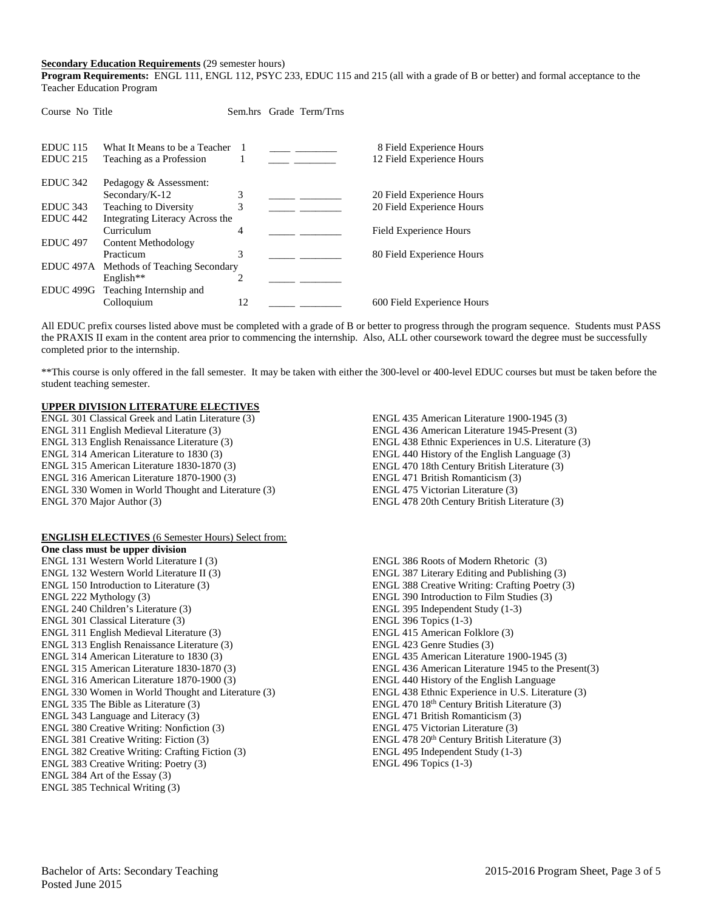#### **Secondary Education Requirements** (29 semester hours)

Course No Title Sem hrs Grade Term/Trns

**Program Requirements:** ENGL 111, ENGL 112, PSYC 233, EDUC 115 and 215 (all with a grade of B or better) and formal acceptance to the Teacher Education Program

| <b>EDUC</b> 115<br>EDUC <sub>215</sub> | What It Means to be a Teacher<br>Teaching as a Profession |    |  | 8 Field Experience Hours<br>12 Field Experience Hours |
|----------------------------------------|-----------------------------------------------------------|----|--|-------------------------------------------------------|
| EDUC 342                               | Pedagogy & Assessment:                                    |    |  |                                                       |
|                                        | Secondary/K-12                                            | 3  |  | 20 Field Experience Hours                             |
| EDUC <sub>343</sub>                    | <b>Teaching to Diversity</b>                              | 3  |  | 20 Field Experience Hours                             |
| EDUC <sub>442</sub>                    | Integrating Literacy Across the                           |    |  |                                                       |
|                                        | Curriculum                                                | 4  |  | <b>Field Experience Hours</b>                         |
| EDUC <sub>497</sub>                    | Content Methodology                                       |    |  |                                                       |
|                                        | Practicum                                                 | 3  |  | 80 Field Experience Hours                             |
|                                        | EDUC 497A Methods of Teaching Secondary                   |    |  |                                                       |
|                                        | English <sup>**</sup>                                     |    |  |                                                       |
| EDUC 499G                              | Teaching Internship and                                   |    |  |                                                       |
|                                        | Colloquium                                                | 12 |  | 600 Field Experience Hours                            |
|                                        |                                                           |    |  |                                                       |

All EDUC prefix courses listed above must be completed with a grade of B or better to progress through the program sequence. Students must PASS the PRAXIS II exam in the content area prior to commencing the internship. Also, ALL other coursework toward the degree must be successfully completed prior to the internship.

\*\*This course is only offered in the fall semester. It may be taken with either the 300-level or 400-level EDUC courses but must be taken before the student teaching semester.

#### **UPPER DIVISION LITERATURE ELECTIVES**

ENGL 301 Classical Greek and Latin Literature (3) ENGL 311 English Medieval Literature (3) ENGL 313 English Renaissance Literature (3) ENGL 314 American Literature to 1830 (3) ENGL 315 American Literature 1830-1870 (3) ENGL 316 American Literature 1870-1900 (3) ENGL 330 Women in World Thought and Literature (3) ENGL 370 Major Author (3)

## **ENGLISH ELECTIVES** (6 Semester Hours) Select from:

**One class must be upper division** ENGL 131 Western World Literature I (3) ENGL 132 Western World Literature II (3) ENGL 150 Introduction to Literature (3) ENGL 222 Mythology (3) ENGL 240 Children's Literature (3) ENGL 301 Classical Literature (3) ENGL 311 English Medieval Literature (3) ENGL 313 English Renaissance Literature (3) ENGL 314 American Literature to 1830 (3) ENGL 315 American Literature 1830-1870 (3) ENGL 316 American Literature 1870-1900 (3) ENGL 330 Women in World Thought and Literature (3) ENGL 335 The Bible as Literature (3) ENGL 343 Language and Literacy (3) ENGL 380 Creative Writing: Nonfiction (3) ENGL 381 Creative Writing: Fiction (3) ENGL 382 Creative Writing: Crafting Fiction (3) ENGL 383 Creative Writing: Poetry (3) ENGL 384 Art of the Essay (3) ENGL 385 Technical Writing (3)

ENGL 435 American Literature 1900-1945 (3) ENGL 436 American Literature 1945-Present (3) ENGL 438 Ethnic Experiences in U.S. Literature (3) ENGL 440 History of the English Language (3) ENGL 470 18th Century British Literature (3) ENGL 471 British Romanticism (3) ENGL 475 Victorian Literature (3) ENGL 478 20th Century British Literature (3)

ENGL 386 Roots of Modern Rhetoric (3) ENGL 387 Literary Editing and Publishing (3) ENGL 388 Creative Writing: Crafting Poetry (3) ENGL 390 Introduction to Film Studies (3) ENGL 395 Independent Study (1-3) ENGL 396 Topics (1-3) ENGL 415 American Folklore (3) ENGL 423 Genre Studies (3) ENGL 435 American Literature 1900-1945 (3) ENGL 436 American Literature 1945 to the Present(3) ENGL 440 History of the English Language ENGL 438 Ethnic Experience in U.S. Literature (3) ENGL 470  $18<sup>th</sup>$  Century British Literature (3) ENGL 471 British Romanticism (3) ENGL 475 Victorian Literature (3) ENGL 478 20<sup>th</sup> Century British Literature (3) ENGL 495 Independent Study (1-3) ENGL 496 Topics (1-3)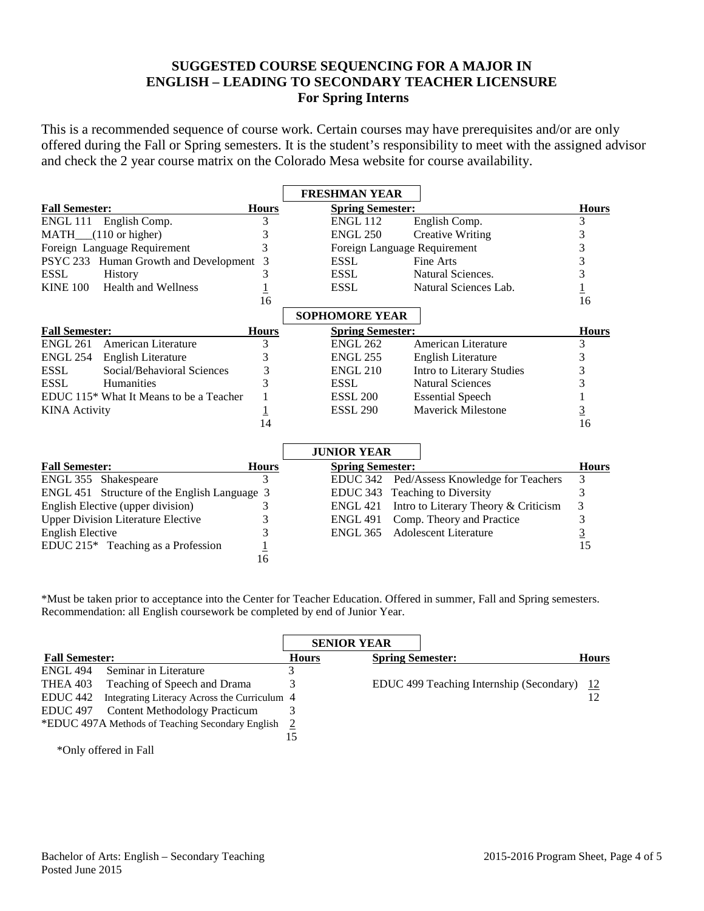# **SUGGESTED COURSE SEQUENCING FOR A MAJOR IN ENGLISH – LEADING TO SECONDARY TEACHER LICENSURE For Spring Interns**

This is a recommended sequence of course work. Certain courses may have prerequisites and/or are only offered during the Fall or Spring semesters. It is the student's responsibility to meet with the assigned advisor and check the 2 year course matrix on the Colorado Mesa website for course availability.

|                         |                                                     |                | <b>FRESHMAN YEAR</b>         |                                      |                |
|-------------------------|-----------------------------------------------------|----------------|------------------------------|--------------------------------------|----------------|
| <b>Fall Semester:</b>   |                                                     | <b>Hours</b>   | <b>Spring Semester:</b>      |                                      | <b>Hours</b>   |
| ENGL 111                | English Comp.                                       | 3              | <b>ENGL 112</b>              | English Comp.                        | 3              |
|                         | MATH_(110 or higher)                                | 3              | <b>ENGL 250</b>              | <b>Creative Writing</b>              | 3              |
|                         | Foreign Language Requirement                        | 3              | Foreign Language Requirement |                                      | 3              |
|                         | PSYC 233 Human Growth and Development               | 3              | <b>ESSL</b>                  | Fine Arts                            | 3              |
| <b>ESSL</b>             | <b>History</b>                                      | 3              | <b>ESSL</b>                  | Natural Sciences.                    | 3              |
| <b>KINE 100</b>         | <b>Health and Wellness</b>                          |                | <b>ESSL</b>                  | Natural Sciences Lab.                |                |
|                         |                                                     | 16             |                              |                                      | 16             |
|                         |                                                     |                | <b>SOPHOMORE YEAR</b>        |                                      |                |
| <b>Fall Semester:</b>   |                                                     | <b>Hours</b>   | <b>Spring Semester:</b>      |                                      | <b>Hours</b>   |
| <b>ENGL 261</b>         | American Literature                                 | 3              | <b>ENGL 262</b>              | American Literature                  | 3              |
| <b>ENGL 254</b>         | English Literature                                  | 3              | <b>ENGL 255</b>              | <b>English Literature</b>            | 3              |
| <b>ESSL</b>             | Social/Behavioral Sciences                          | 3              | <b>ENGL 210</b>              | Intro to Literary Studies            | 3              |
| <b>ESSL</b>             | Humanities                                          | 3              | <b>ESSL</b>                  | <b>Natural Sciences</b>              | 3              |
|                         | EDUC 115 <sup>*</sup> What It Means to be a Teacher |                | <b>ESSL 200</b>              | <b>Essential Speech</b>              |                |
| <b>KINA</b> Activity    |                                                     | $\overline{1}$ | <b>ESSL 290</b>              | Maverick Milestone                   | $\overline{3}$ |
|                         |                                                     | 14             |                              |                                      | 16             |
|                         |                                                     |                |                              |                                      |                |
|                         |                                                     |                | <b>JUNIOR YEAR</b>           |                                      |                |
| <b>Fall Semester:</b>   |                                                     | <b>Hours</b>   | <b>Spring Semester:</b>      |                                      | <b>Hours</b>   |
|                         | ENGL 355 Shakespeare                                | 3              | <b>EDUC 342</b>              | Ped/Assess Knowledge for Teachers    | 3              |
|                         | ENGL 451 Structure of the English Language 3        |                | EDUC 343                     | Teaching to Diversity                | 3              |
|                         | English Elective (upper division)                   | 3              | <b>ENGL 421</b>              | Intro to Literary Theory & Criticism | 3              |
|                         | <b>Upper Division Literature Elective</b>           | 3              | <b>ENGL 491</b>              | Comp. Theory and Practice            | 3              |
| <b>English Elective</b> |                                                     | 3              | <b>ENGL 365</b>              | <b>Adolescent Literature</b>         | $\overline{3}$ |
|                         | EDUC $215*$ Teaching as a Profession                |                |                              |                                      | 15             |
|                         |                                                     | 16             |                              |                                      |                |

\*Must be taken prior to acceptance into the Center for Teacher Education. Offered in summer, Fall and Spring semesters. Recommendation: all English coursework be completed by end of Junior Year.

|                       |                                                    | <b>SENIOR YEAR</b> |  |                                               |    |
|-----------------------|----------------------------------------------------|--------------------|--|-----------------------------------------------|----|
| <b>Fall Semester:</b> |                                                    | <b>Hours</b>       |  | <b>Spring Semester:</b>                       |    |
| <b>ENGL 494</b>       | Seminar in Literature                              |                    |  |                                               |    |
| THEA 403              | Teaching of Speech and Drama                       |                    |  | EDUC 499 Teaching Internship (Secondary) $12$ |    |
| EDUC <sub>442</sub>   | Integrating Literacy Across the Curriculum 4       |                    |  |                                               | 12 |
| EDUC <sub>497</sub>   | <b>Content Methodology Practicum</b>               |                    |  |                                               |    |
|                       | *EDUC 497A Methods of Teaching Secondary English 2 |                    |  |                                               |    |
|                       |                                                    | 15                 |  |                                               |    |
|                       | *Only offered in Fall                              |                    |  |                                               |    |